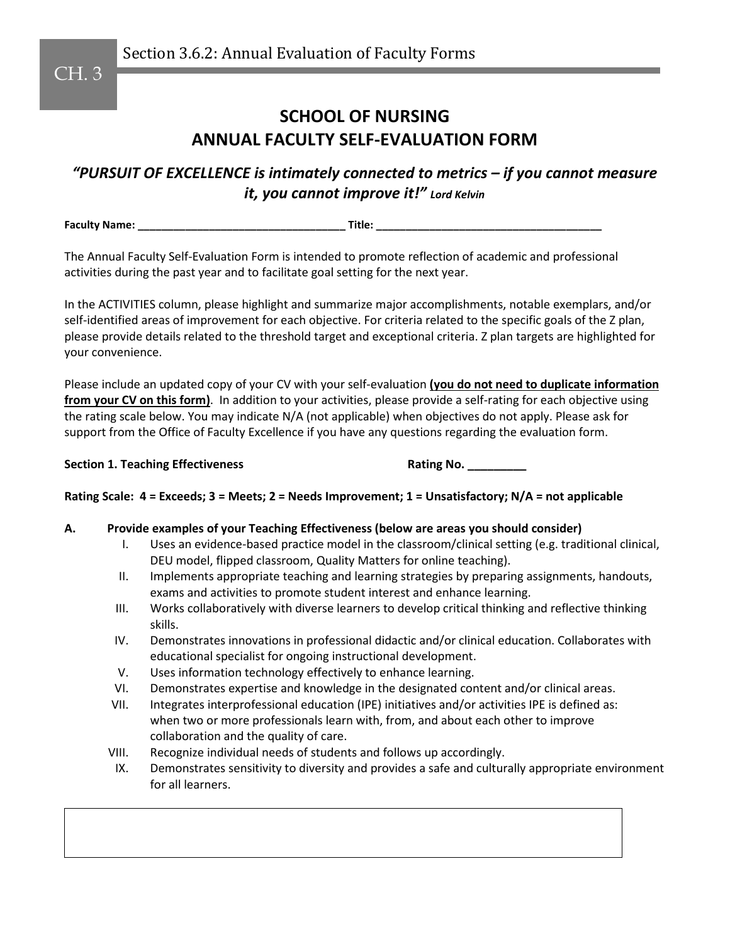Section 3.6.2: Annual Evaluation of Faculty Forms

# **SCHOOL OF NURSING ANNUAL FACULTY SELF-EVALUATION FORM**

*"PURSUIT OF EXCELLENCE is intimately connected to metrics – if you cannot measure it, you cannot improve it!" Lord Kelvin*

**Faculty Name: \_\_\_\_\_\_\_\_\_\_\_\_\_\_\_\_\_\_\_\_\_\_\_\_\_\_\_\_\_\_\_\_\_\_\_ Title: \_\_\_\_\_\_\_\_\_\_\_\_\_\_\_\_\_\_\_\_\_\_\_\_\_\_\_\_\_\_\_\_\_\_\_\_\_\_**

The Annual Faculty Self-Evaluation Form is intended to promote reflection of academic and professional activities during the past year and to facilitate goal setting for the next year.

In the ACTIVITIES column, please highlight and summarize major accomplishments, notable exemplars, and/or self-identified areas of improvement for each objective. For criteria related to the specific goals of the Z plan, please provide details related to the threshold target and exceptional criteria. Z plan targets are highlighted for your convenience.

Please include an updated copy of your CV with your self-evaluation **(you do not need to duplicate information from your CV on this form)**. In addition to your activities, please provide a self-rating for each objective using the rating scale below. You may indicate N/A (not applicable) when objectives do not apply. Please ask for support from the Office of Faculty Excellence if you have any questions regarding the evaluation form.

**Section 1. Teaching Effectiveness <b>Rating No.** 2008. **Rating No.** 2008.

**Rating Scale: 4 = Exceeds; 3 = Meets; 2 = Needs Improvement; 1 = Unsatisfactory; N/A = not applicable**

### **A. Provide examples of your Teaching Effectiveness (below are areas you should consider)**

- I. Uses an evidence-based practice model in the classroom/clinical setting (e.g. traditional clinical, DEU model, flipped classroom, Quality Matters for online teaching).
- II. Implements appropriate teaching and learning strategies by preparing assignments, handouts, exams and activities to promote student interest and enhance learning.
- III. Works collaboratively with diverse learners to develop critical thinking and reflective thinking skills.
- IV. Demonstrates innovations in professional didactic and/or clinical education. Collaborates with educational specialist for ongoing instructional development.
- V. Uses information technology effectively to enhance learning.
- VI. Demonstrates expertise and knowledge in the designated content and/or clinical areas.
- VII. Integrates interprofessional education (IPE) initiatives and/or activities IPE is defined as: when two or more professionals learn with, from, and about each other to improve collaboration and the quality of care.
- VIII. Recognize individual needs of students and follows up accordingly.
- IX. Demonstrates sensitivity to diversity and provides a safe and culturally appropriate environment for all learners.

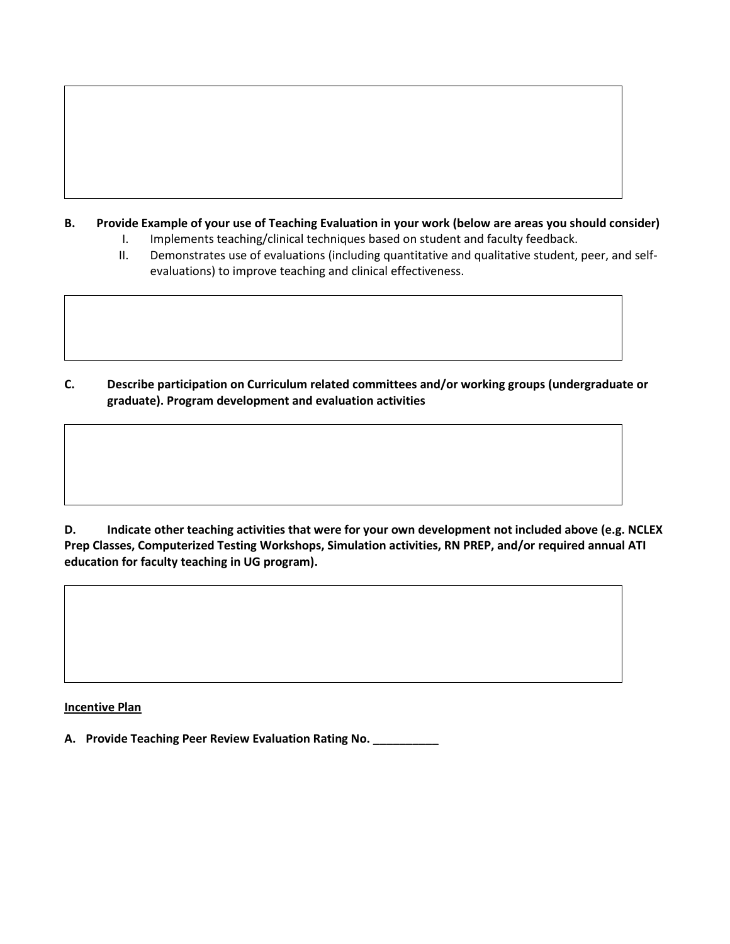## **B. Provide Example of your use of Teaching Evaluation in your work (below are areas you should consider)**

- I. Implements teaching/clinical techniques based on student and faculty feedback.
- II. Demonstrates use of evaluations (including quantitative and qualitative student, peer, and selfevaluations) to improve teaching and clinical effectiveness.

**C. Describe participation on Curriculum related committees and/or working groups (undergraduate or graduate). Program development and evaluation activities** 

**D. Indicate other teaching activities that were for your own development not included above (e.g. NCLEX Prep Classes, Computerized Testing Workshops, Simulation activities, RN PREP, and/or required annual ATI education for faculty teaching in UG program).**

**Incentive Plan** 

**A. Provide Teaching Peer Review Evaluation Rating No. \_\_\_\_\_\_\_\_\_\_**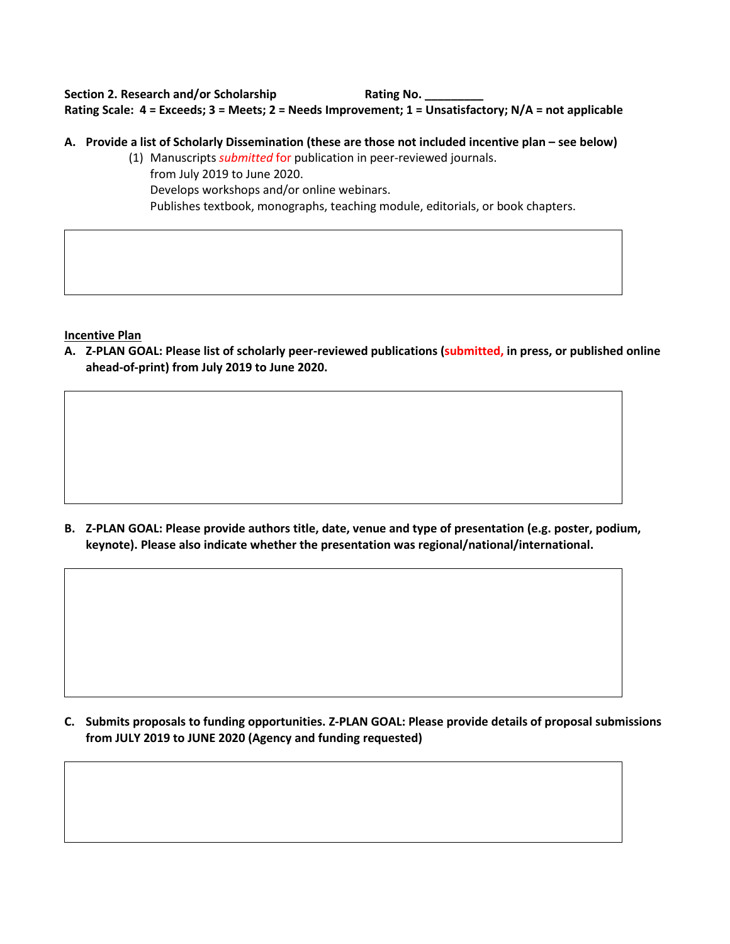# Section 2. Research and/or Scholarship **Rating No. Rating Scale: 4 = Exceeds; 3 = Meets; 2 = Needs Improvement; 1 = Unsatisfactory; N/A = not applicable**

- **A. Provide a list of Scholarly Dissemination (these are those not included incentive plan – see below)**
	- (1) Manuscripts *submitted* for publication in peer-reviewed journals. from July 2019 to June 2020. Develops workshops and/or online webinars. Publishes textbook, monographs, teaching module, editorials, or book chapters.

**Incentive Plan** 

**A. Z-PLAN GOAL: Please list of scholarly peer-reviewed publications (submitted, in press, or published online ahead-of-print) from July 2019 to June 2020.** 

**B. Z-PLAN GOAL: Please provide authors title, date, venue and type of presentation (e.g. poster, podium, keynote). Please also indicate whether the presentation was regional/national/international.** 

**C. Submits proposals to funding opportunities. Z-PLAN GOAL: Please provide details of proposal submissions from JULY 2019 to JUNE 2020 (Agency and funding requested)**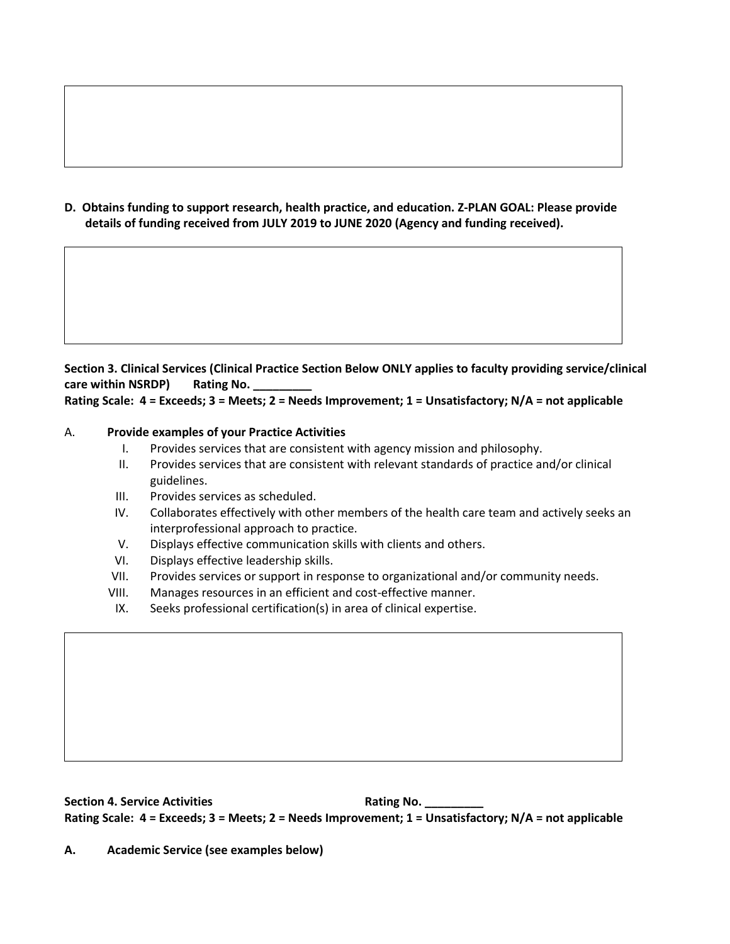**D. Obtains funding to support research, health practice, and education. Z-PLAN GOAL: Please provide details of funding received from JULY 2019 to JUNE 2020 (Agency and funding received).**

# **Section 3. Clinical Services (Clinical Practice Section Below ONLY applies to faculty providing service/clinical care within NSRDP) Rating No.**

# **Rating Scale: 4 = Exceeds; 3 = Meets; 2 = Needs Improvement; 1 = Unsatisfactory; N/A = not applicable**

# A. **Provide examples of your Practice Activities**

- I. Provides services that are consistent with agency mission and philosophy.
- II. Provides services that are consistent with relevant standards of practice and/or clinical guidelines.
- III. Provides services as scheduled.
- IV. Collaborates effectively with other members of the health care team and actively seeks an interprofessional approach to practice.
- V. Displays effective communication skills with clients and others.
- VI. Displays effective leadership skills.
- VII. Provides services or support in response to organizational and/or community needs.
- VIII. Manages resources in an efficient and cost-effective manner.
- IX. Seeks professional certification(s) in area of clinical expertise.

**Section 4. Service Activities Rating No. Rating No. Rating Scale: 4 = Exceeds; 3 = Meets; 2 = Needs Improvement; 1 = Unsatisfactory; N/A = not applicable**

**A. Academic Service (see examples below)**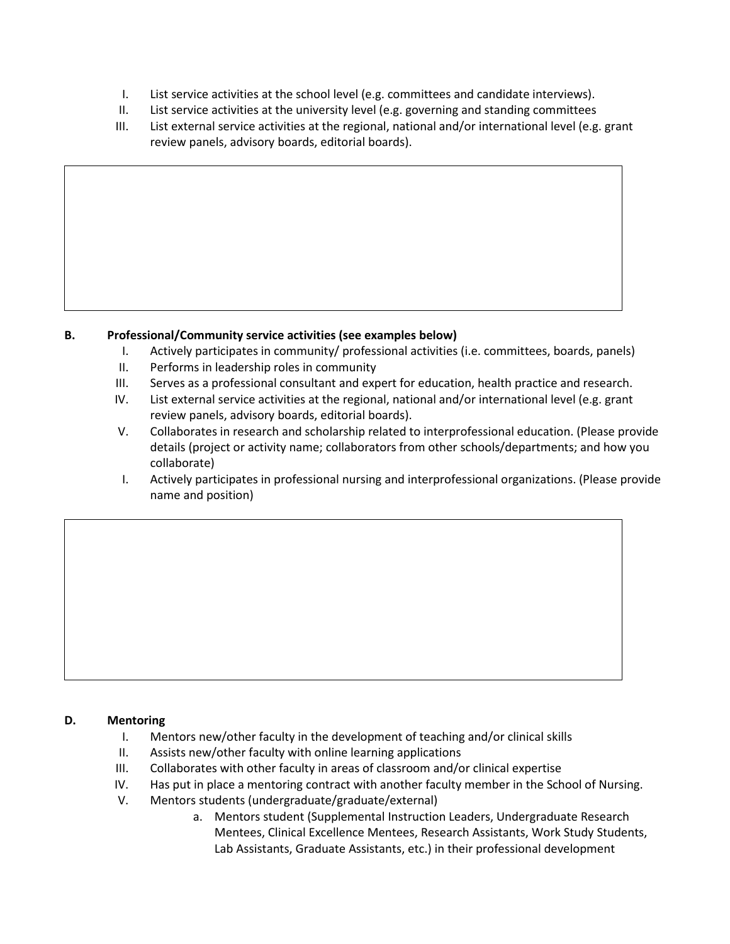- I. List service activities at the school level (e.g. committees and candidate interviews).
- II. List service activities at the university level (e.g. governing and standing committees
- III. List external service activities at the regional, national and/or international level (e.g. grant review panels, advisory boards, editorial boards).

# **B. Professional/Community service activities (see examples below)**

- I. Actively participates in community/ professional activities (i.e. committees, boards, panels)
- II. Performs in leadership roles in community
- III. Serves as a professional consultant and expert for education, health practice and research.
- IV. List external service activities at the regional, national and/or international level (e.g. grant review panels, advisory boards, editorial boards).
- V. Collaborates in research and scholarship related to interprofessional education. (Please provide details (project or activity name; collaborators from other schools/departments; and how you collaborate)
- I. Actively participates in professional nursing and interprofessional organizations. (Please provide name and position)

### **D. Mentoring**

- I. Mentors new/other faculty in the development of teaching and/or clinical skills
- II. Assists new/other faculty with online learning applications
- III. Collaborates with other faculty in areas of classroom and/or clinical expertise
- IV. Has put in place a mentoring contract with another faculty member in the School of Nursing.
- V. Mentors students (undergraduate/graduate/external)
	- a. Mentors student (Supplemental Instruction Leaders, Undergraduate Research Mentees, Clinical Excellence Mentees, Research Assistants, Work Study Students, Lab Assistants, Graduate Assistants, etc.) in their professional development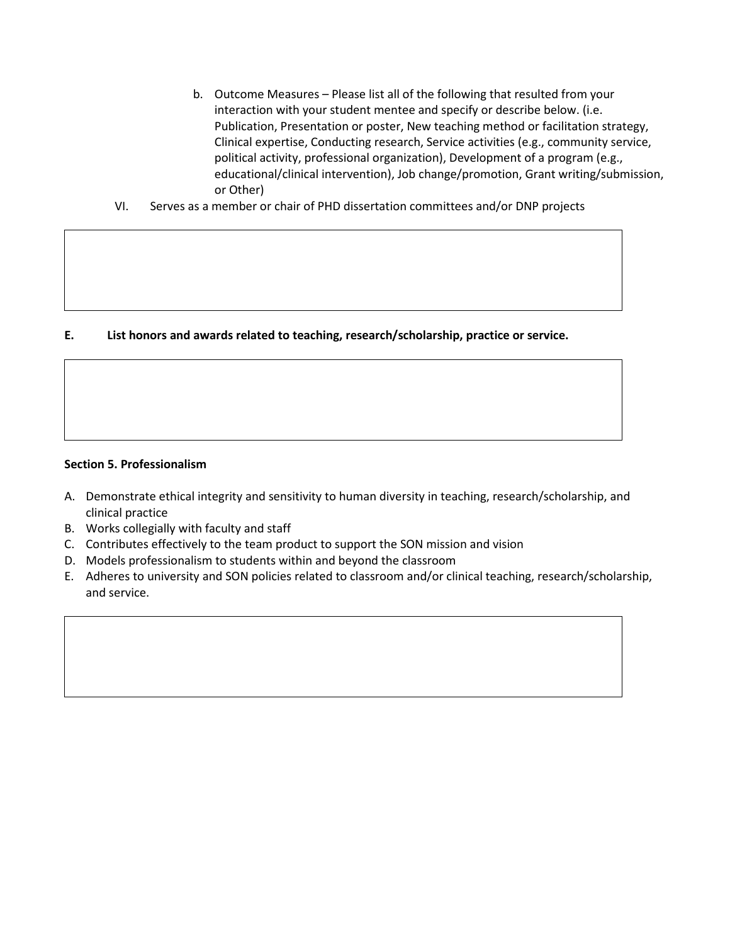- b. Outcome Measures Please list all of the following that resulted from your interaction with your student mentee and specify or describe below. (i.e. Publication, Presentation or poster, New teaching method or facilitation strategy, Clinical expertise, Conducting research, Service activities (e.g., community service, political activity, professional organization), Development of a program (e.g., educational/clinical intervention), Job change/promotion, Grant writing/submission, or Other)
- VI. Serves as a member or chair of PHD dissertation committees and/or DNP projects

### **E. List honors and awards related to teaching, research/scholarship, practice or service.**

#### **Section 5. Professionalism**

- A. Demonstrate ethical integrity and sensitivity to human diversity in teaching, research/scholarship, and clinical practice
- B. Works collegially with faculty and staff
- C. Contributes effectively to the team product to support the SON mission and vision
- D. Models professionalism to students within and beyond the classroom
- E. Adheres to university and SON policies related to classroom and/or clinical teaching, research/scholarship, and service.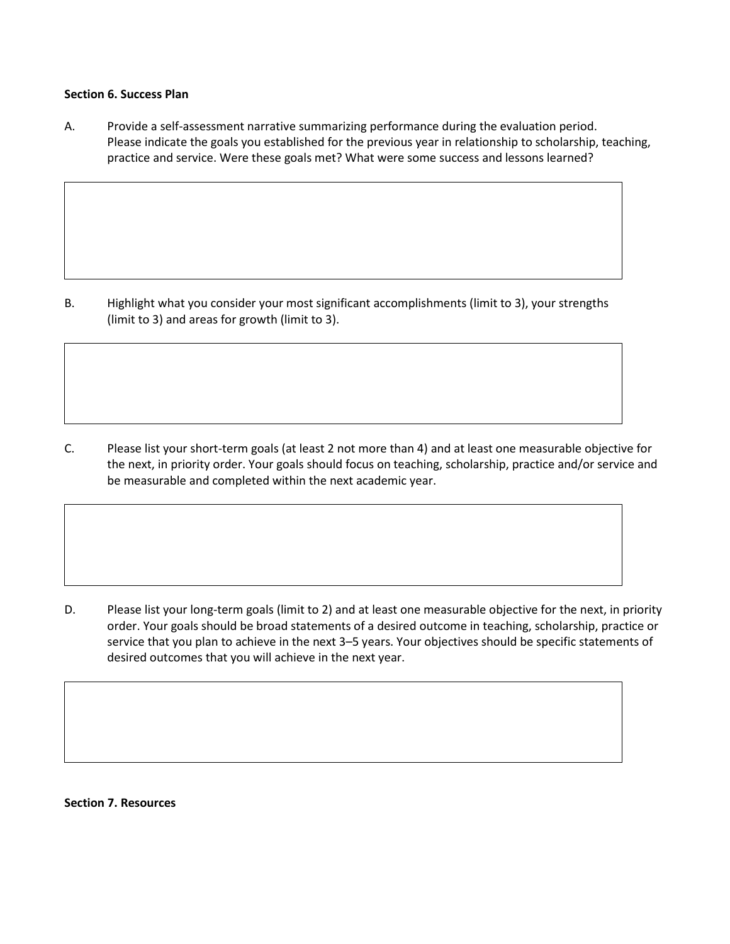#### **Section 6. Success Plan**

A. Provide a self-assessment narrative summarizing performance during the evaluation period. Please indicate the goals you established for the previous year in relationship to scholarship, teaching, practice and service. Were these goals met? What were some success and lessons learned?

B. Highlight what you consider your most significant accomplishments (limit to 3), your strengths (limit to 3) and areas for growth (limit to 3).

C. Please list your short-term goals (at least 2 not more than 4) and at least one measurable objective for the next, in priority order. Your goals should focus on teaching, scholarship, practice and/or service and be measurable and completed within the next academic year.

D. Please list your long-term goals (limit to 2) and at least one measurable objective for the next, in priority order. Your goals should be broad statements of a desired outcome in teaching, scholarship, practice or service that you plan to achieve in the next 3–5 years. Your objectives should be specific statements of desired outcomes that you will achieve in the next year.

**Section 7. Resources**